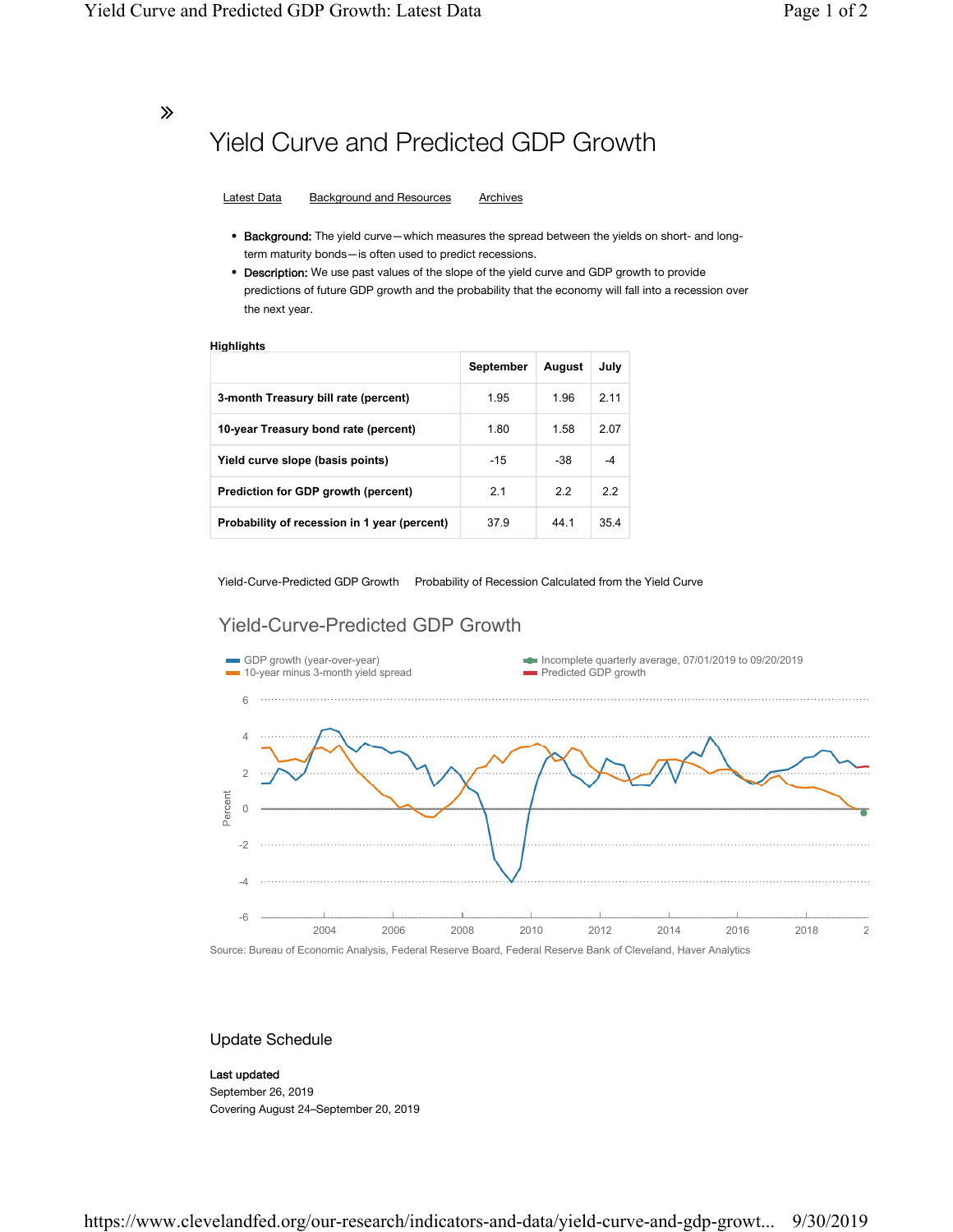∠

# Yield Curve and Predicted GDP Growth

Latest Data Background and Resources Archives

- Background: The yield curve—which measures the spread between the yields on short- and longterm maturity bonds—is often used to predict recessions.
- Description: We use past values of the slope of the yield curve and GDP growth to provide predictions of future GDP growth and the probability that the economy will fall into a recession over the next year.

#### **Highlights**

|                                              | September | August | July |
|----------------------------------------------|-----------|--------|------|
| 3-month Treasury bill rate (percent)         | 1.95      | 1.96   | 211  |
| 10-year Treasury bond rate (percent)         | 1.80      | 1.58   | 2.07 |
| Yield curve slope (basis points)             | $-15$     | -38    |      |
| Prediction for GDP growth (percent)          | 2.1       | 2.2    | 22   |
| Probability of recession in 1 year (percent) | 37.9      | 44 1   | 35.4 |

Yield-Curve-Predicted GDP Growth Probability of Recession Calculated from the Yield Curve

### Yield-Curve-Predicted GDP Growth



### Update Schedule

#### Last updated

September 26, 2019 Covering August 24–September 20, 2019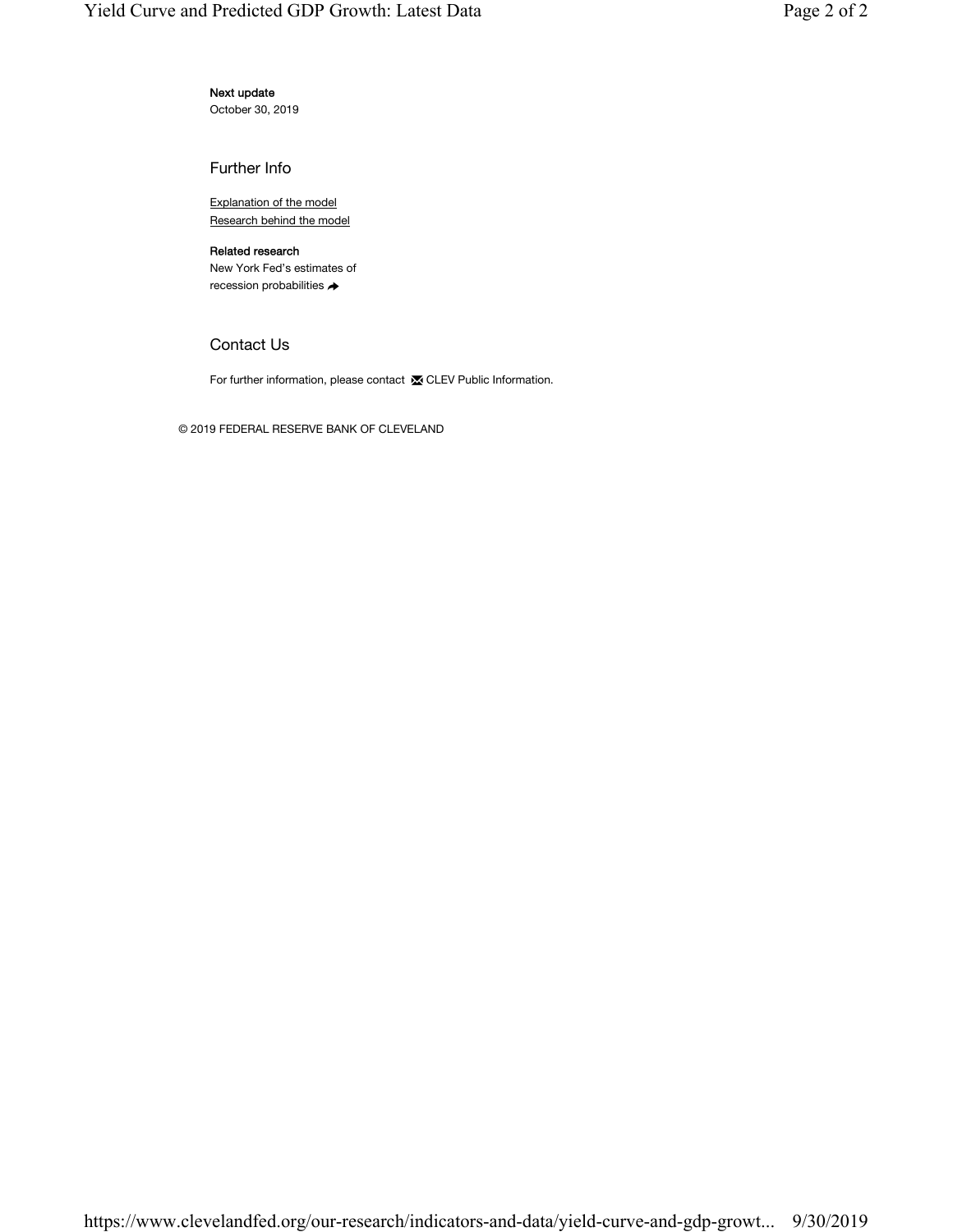### Next update

October 30, 2019

Further Info

Explanation of the model Research behind the model

### Related research

New York Fed's estimates of recession probabilities →

### Contact Us

For further information, please contact **X** CLEV Public Information.

© 2019 FEDERAL RESERVE BANK OF CLEVELAND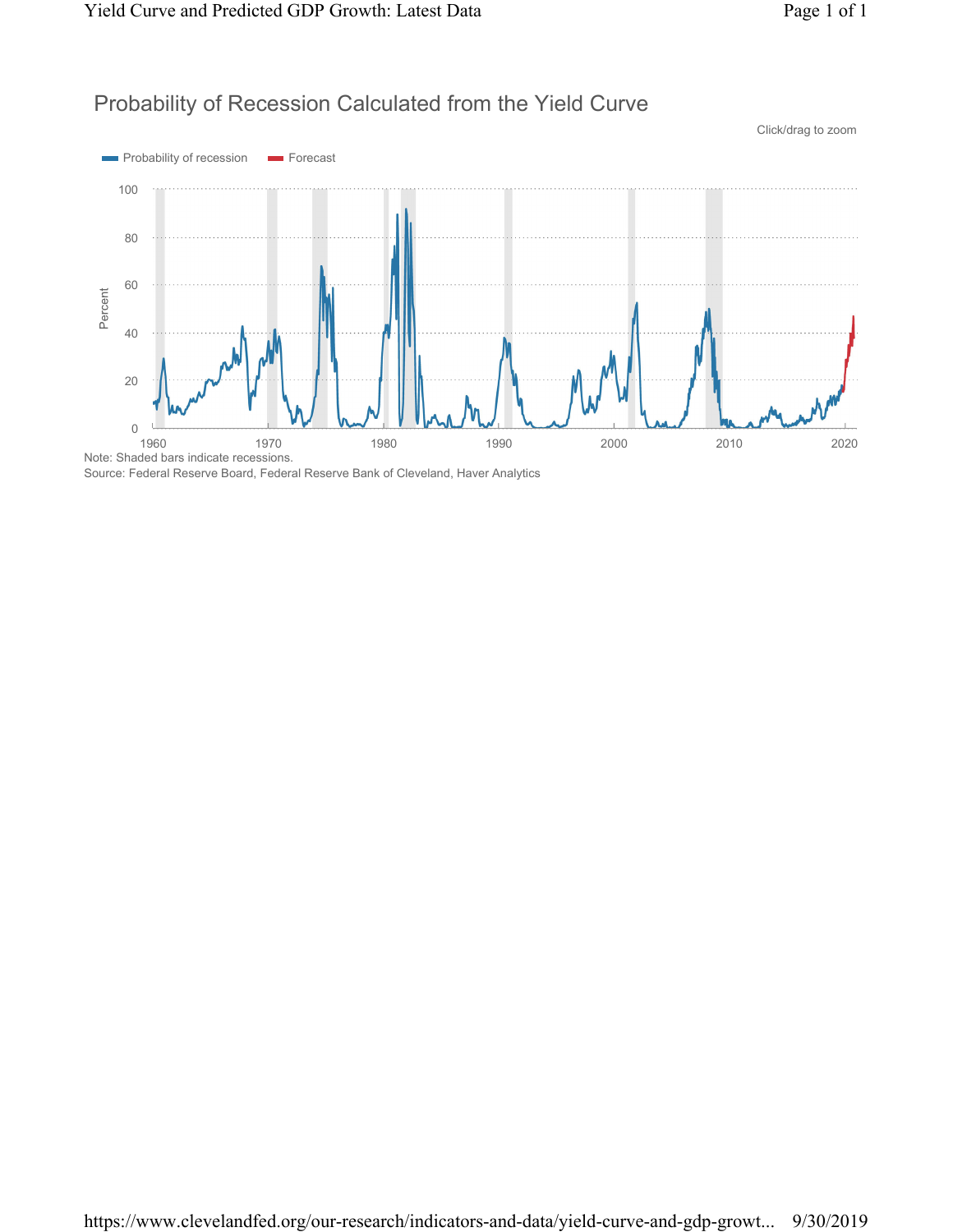## Probability of Recession Calculated from the Yield Curve



Source: Federal Reserve Board, Federal Reserve Bank of Cleveland, Haver Analytics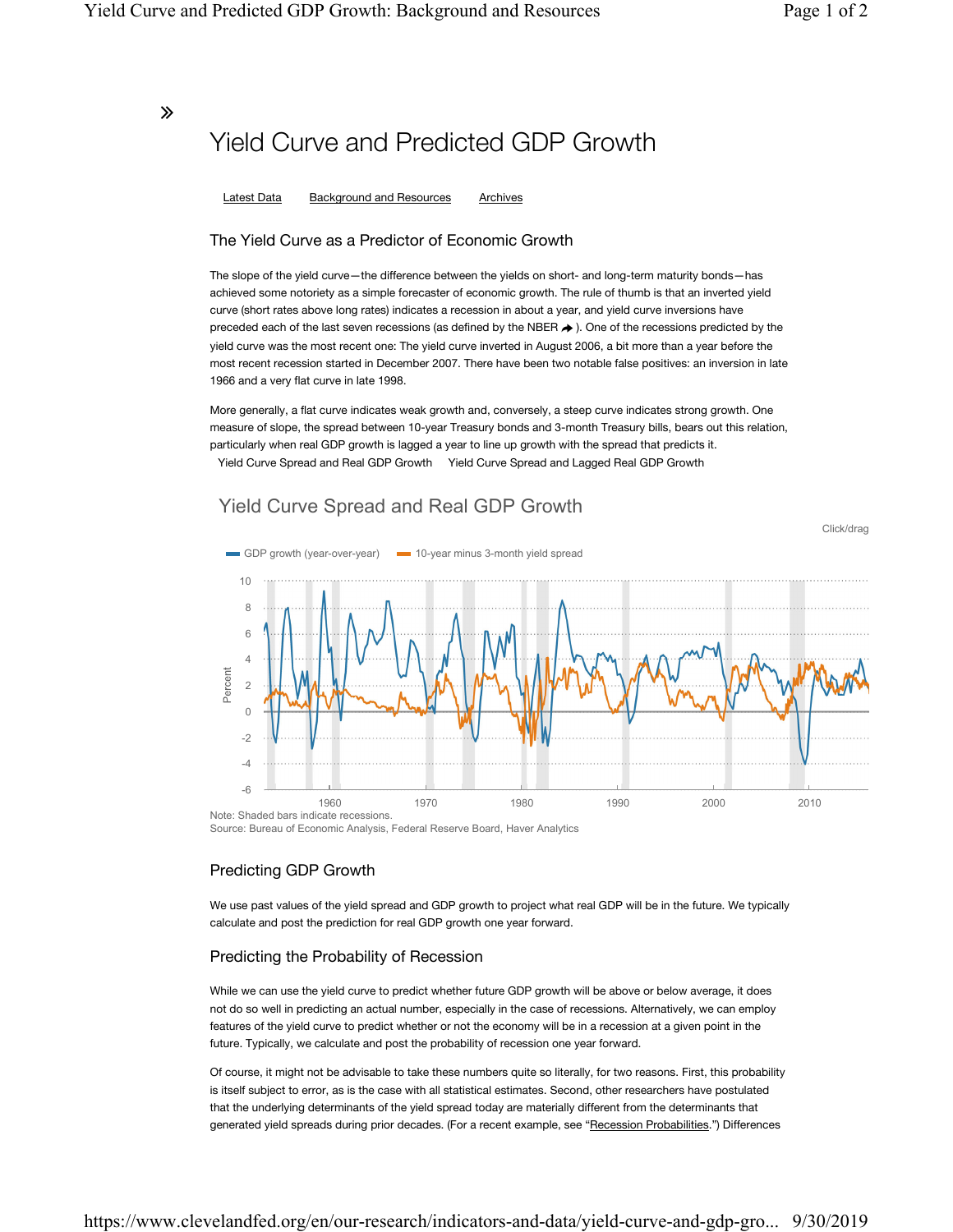Click/drag

### ∠

# Yield Curve and Predicted GDP Growth

Latest Data Background and Resources Archives

### The Yield Curve as a Predictor of Economic Growth

The slope of the yield curve—the difference between the yields on short- and long-term maturity bonds—has achieved some notoriety as a simple forecaster of economic growth. The rule of thumb is that an inverted yield curve (short rates above long rates) indicates a recession in about a year, and yield curve inversions have preceded each of the last seven recessions (as defined by the NBER  $\rightarrow$  ). One of the recessions predicted by the yield curve was the most recent one: The yield curve inverted in August 2006, a bit more than a year before the most recent recession started in December 2007. There have been two notable false positives: an inversion in late 1966 and a very flat curve in late 1998.

More generally, a flat curve indicates weak growth and, conversely, a steep curve indicates strong growth. One measure of slope, the spread between 10-year Treasury bonds and 3-month Treasury bills, bears out this relation, particularly when real GDP growth is lagged a year to line up growth with the spread that predicts it. Yield Curve Spread and Real GDP Growth Yield Curve Spread and Lagged Real GDP Growth

### Yield Curve Spread and Real GDP Growth



Source: Bureau of Economic Analysis, Federal Reserve Board, Haver Analytics

### Predicting GDP Growth

We use past values of the yield spread and GDP growth to project what real GDP will be in the future. We typically calculate and post the prediction for real GDP growth one year forward.

### Predicting the Probability of Recession

While we can use the yield curve to predict whether future GDP growth will be above or below average, it does not do so well in predicting an actual number, especially in the case of recessions. Alternatively, we can employ features of the yield curve to predict whether or not the economy will be in a recession at a given point in the future. Typically, we calculate and post the probability of recession one year forward.

Of course, it might not be advisable to take these numbers quite so literally, for two reasons. First, this probability is itself subject to error, as is the case with all statistical estimates. Second, other researchers have postulated that the underlying determinants of the yield spread today are materially different from the determinants that generated yield spreads during prior decades. (For a recent example, see "Recession Probabilities.") Differences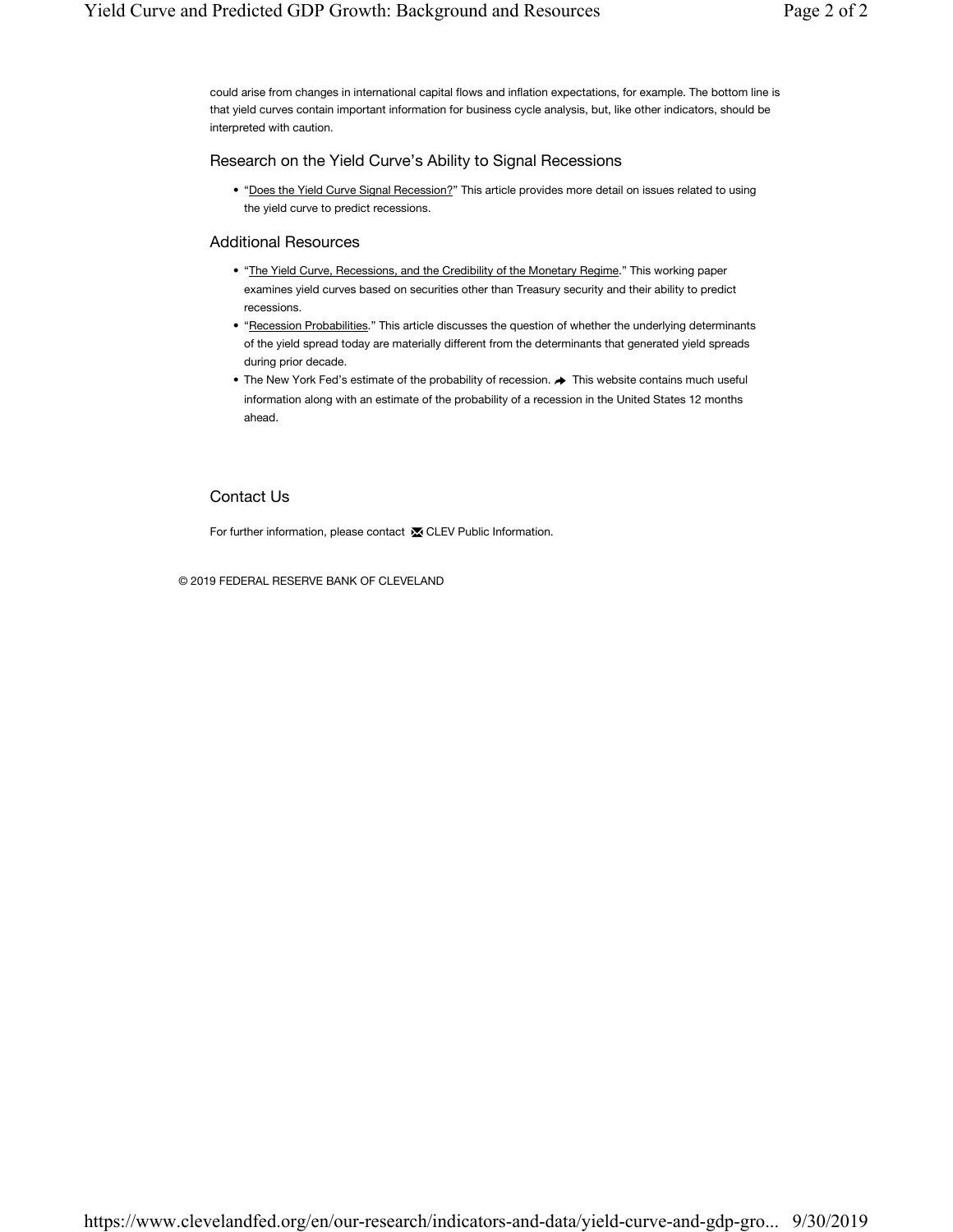could arise from changes in international capital flows and inflation expectations, for example. The bottom line is that yield curves contain important information for business cycle analysis, but, like other indicators, should be interpreted with caution.

### Research on the Yield Curve's Ability to Signal Recessions

• "Does the Yield Curve Signal Recession?" This article provides more detail on issues related to using the yield curve to predict recessions.

### Additional Resources

- "The Yield Curve, Recessions, and the Credibility of the Monetary Regime." This working paper examines yield curves based on securities other than Treasury security and their ability to predict recessions.
- "Recession Probabilities." This article discusses the question of whether the underlying determinants of the yield spread today are materially different from the determinants that generated yield spreads during prior decade.
- The New York Fed's estimate of the probability of recession.  $\blacktriangleright$  This website contains much useful information along with an estimate of the probability of a recession in the United States 12 months ahead.

### Contact Us

For further information, please contact **x** CLEV Public Information.

© 2019 FEDERAL RESERVE BANK OF CLEVELAND